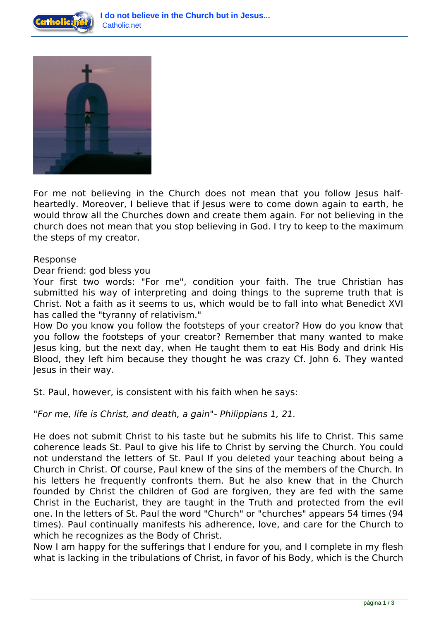



For me not believing in the Church does not mean that you follow Jesus halfheartedly. Moreover, I believe that if Jesus were to come down again to earth, he would throw all the Churches down and create them again. For not believing in the church does not mean that you stop believing in God. I try to keep to the maximum the steps of my creator.

## Response

Dear friend: god bless you

Your first two words: "For me", condition your faith. The true Christian has submitted his way of interpreting and doing things to the supreme truth that is Christ. Not a faith as it seems to us, which would be to fall into what Benedict XVI has called the "tyranny of relativism."

How Do you know you follow the footsteps of your creator? How do you know that you follow the footsteps of your creator? Remember that many wanted to make Jesus king, but the next day, when He taught them to eat His Body and drink His Blood, they left him because they thought he was crazy Cf. John 6. They wanted Jesus in their way.

St. Paul, however, is consistent with his faith when he says:

*"For me, life is Christ, and death, a gain"- Philippians 1, 21.*

He does not submit Christ to his taste but he submits his life to Christ. This same coherence leads St. Paul to give his life to Christ by serving the Church. You could not understand the letters of St. Paul If you deleted your teaching about being a Church in Christ. Of course, Paul knew of the sins of the members of the Church. In his letters he frequently confronts them. But he also knew that in the Church founded by Christ the children of God are forgiven, they are fed with the same Christ in the Eucharist, they are taught in the Truth and protected from the evil one. In the letters of St. Paul the word "Church" or "churches" appears 54 times (94 times). Paul continually manifests his adherence, love, and care for the Church to which he recognizes as the Body of Christ.

Now I am happy for the sufferings that I endure for you, and I complete in my flesh what is lacking in the tribulations of Christ, in favor of his Body, which is the Church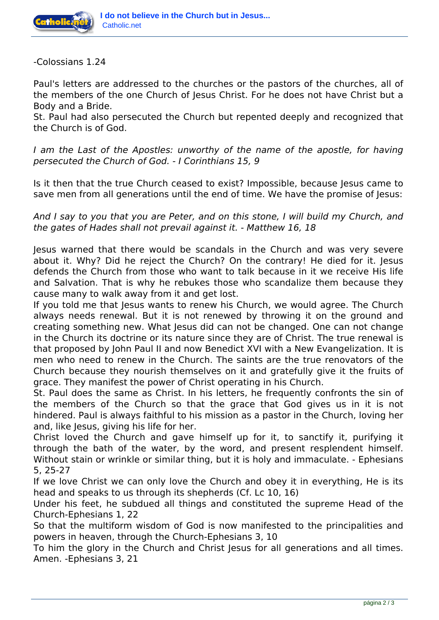

-Colossians 1.24

Paul's letters are addressed to the churches or the pastors of the churches, all of the members of the one Church of Jesus Christ. For he does not have Christ but a Body and a Bride.

St. Paul had also persecuted the Church but repented deeply and recognized that the Church is of God.

*I am the Last of the Apostles: unworthy of the name of the apostle, for having persecuted the Church of God. - I Corinthians 15, 9*

Is it then that the true Church ceased to exist? Impossible, because Jesus came to save men from all generations until the end of time. We have the promise of Jesus:

*And I say to you that you are Peter, and on this stone, I will build my Church, and the gates of Hades shall not prevail against it. - Matthew 16, 18*

Jesus warned that there would be scandals in the Church and was very severe about it. Why? Did he reject the Church? On the contrary! He died for it. Jesus defends the Church from those who want to talk because in it we receive His life and Salvation. That is why he rebukes those who scandalize them because they cause many to walk away from it and get lost.

If you told me that Jesus wants to renew his Church, we would agree. The Church always needs renewal. But it is not renewed by throwing it on the ground and creating something new. What Jesus did can not be changed. One can not change in the Church its doctrine or its nature since they are of Christ. The true renewal is that proposed by John Paul II and now Benedict XVI with a New Evangelization. It is men who need to renew in the Church. The saints are the true renovators of the Church because they nourish themselves on it and gratefully give it the fruits of grace. They manifest the power of Christ operating in his Church.

St. Paul does the same as Christ. In his letters, he frequently confronts the sin of the members of the Church so that the grace that God gives us in it is not hindered. Paul is always faithful to his mission as a pastor in the Church, loving her and, like Jesus, giving his life for her.

Christ loved the Church and gave himself up for it, to sanctify it, purifying it through the bath of the water, by the word, and present resplendent himself. Without stain or wrinkle or similar thing, but it is holy and immaculate. - Ephesians 5, 25-27

If we love Christ we can only love the Church and obey it in everything, He is its head and speaks to us through its shepherds (Cf. Lc 10, 16)

Under his feet, he subdued all things and constituted the supreme Head of the Church-Ephesians 1, 22

So that the multiform wisdom of God is now manifested to the principalities and powers in heaven, through the Church-Ephesians 3, 10

To him the glory in the Church and Christ Jesus for all generations and all times. Amen. -Ephesians 3, 21